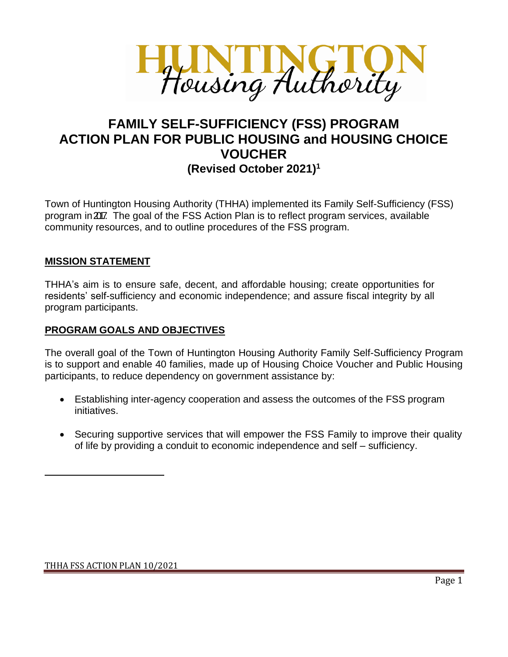

# **FAMILY SELF-SUFFICIENCY (FSS) PROGRAM ACTION PLAN FOR PUBLIC HOUSING and HOUSING CHOICE VOUCHER (Revised October 2021) 1**

Town of Huntington Housing Authority (THHA) implemented its Family Self-Sufficiency (FSS) program in 2017. The goal of the FSS Action Plan is to reflect program services, available community resources, and to outline procedures of the FSS program.

# **MISSION STATEMENT**

THHA's aim is to ensure safe, decent, and affordable housing; create opportunities for residents' self-sufficiency and economic independence; and assure fiscal integrity by all program participants.

### **PROGRAM GOALS AND OBJECTIVES**

The overall goal of the Town of Huntington Housing Authority Family Self-Sufficiency Program is to support and enable 40 families, made up of Housing Choice Voucher and Public Housing participants, to reduce dependency on government assistance by:

- Establishing inter-agency cooperation and assess the outcomes of the FSS program initiatives.
- Securing supportive services that will empower the FSS Family to improve their quality of life by providing a conduit to economic independence and self – sufficiency.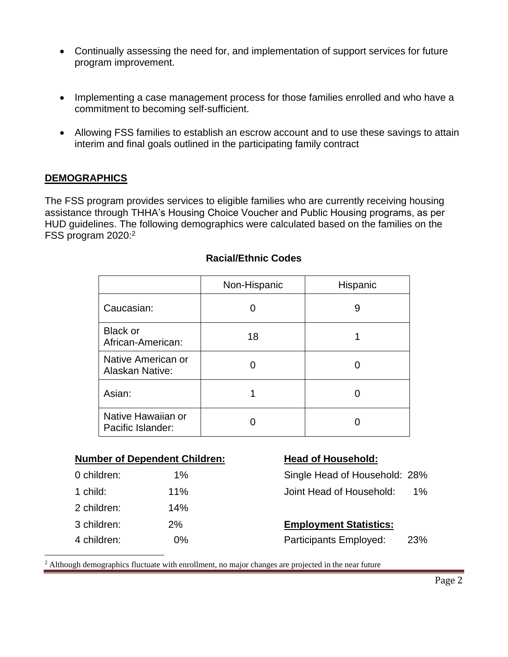- Continually assessing the need for, and implementation of support services for future program improvement.
- Implementing a case management process for those families enrolled and who have a commitment to becoming self-sufficient.
- Allowing FSS families to establish an escrow account and to use these savings to attain interim and final goals outlined in the participating family contract

#### **DEMOGRAPHICS**

The FSS program provides services to eligible families who are currently receiving housing assistance through THHA's Housing Choice Voucher and Public Housing programs, as per HUD guidelines. The following demographics were calculated based on the families on the FSS program 2020: 2

|                                              | Non-Hispanic | Hispanic |
|----------------------------------------------|--------------|----------|
| Caucasian:                                   |              | 9        |
| <b>Black or</b><br>African-American:         | 18           |          |
| Native American or<br><b>Alaskan Native:</b> |              |          |
| Asian:                                       |              |          |
| Native Hawaiian or<br>Pacific Islander:      |              |          |

#### **Racial/Ethnic Codes**

| <b>Number of Dependent Children:</b> |  |
|--------------------------------------|--|
|--------------------------------------|--|

| 0 children: | 1%  |
|-------------|-----|
| 1 child:    | 11% |
| 2 children: | 14% |
| 3 children: | 2%  |
| 4 children: | 0%  |

#### **Head of Household:**

| 0 children: | $1\%$ | Single Head of Household: 28% |    |
|-------------|-------|-------------------------------|----|
| 1 child:    | 11%   | Joint Head of Household:      | 1% |

# **Employment Statistics:**

Participants Employed: 23%

<sup>2</sup> Although demographics fluctuate with enrollment, no major changes are projected in the near future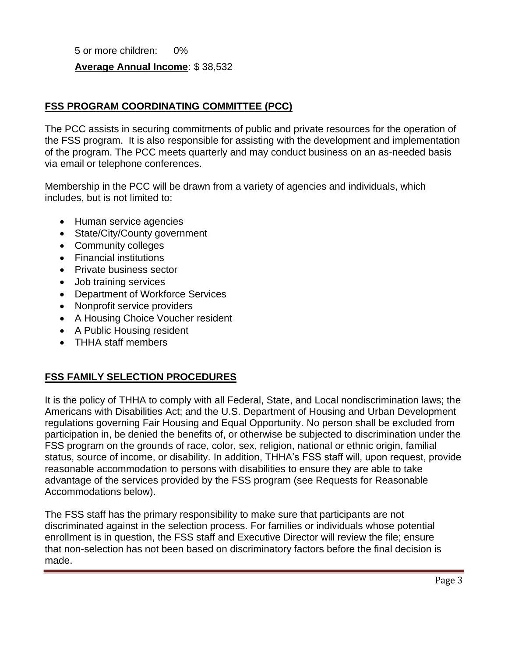5 or more children: 0%

# **Average Annual Income**: \$ 38,532

### **FSS PROGRAM COORDINATING COMMITTEE (PCC)**

The PCC assists in securing commitments of public and private resources for the operation of the FSS program. It is also responsible for assisting with the development and implementation of the program. The PCC meets quarterly and may conduct business on an as-needed basis via email or telephone conferences.

Membership in the PCC will be drawn from a variety of agencies and individuals, which includes, but is not limited to:

- Human service agencies
- State/City/County government
- Community colleges
- Financial institutions
- Private business sector
- Job training services
- Department of Workforce Services
- Nonprofit service providers
- A Housing Choice Voucher resident
- A Public Housing resident
- THHA staff members

#### **FSS FAMILY SELECTION PROCEDURES**

It is the policy of THHA to comply with all Federal, State, and Local nondiscrimination laws; the Americans with Disabilities Act; and the U.S. Department of Housing and Urban Development regulations governing Fair Housing and Equal Opportunity. No person shall be excluded from participation in, be denied the benefits of, or otherwise be subjected to discrimination under the FSS program on the grounds of race, color, sex, religion, national or ethnic origin, familial status, source of income, or disability. In addition, THHA's FSS staff will, upon request, provide reasonable accommodation to persons with disabilities to ensure they are able to take advantage of the services provided by the FSS program (see Requests for Reasonable Accommodations below).

The FSS staff has the primary responsibility to make sure that participants are not discriminated against in the selection process. For families or individuals whose potential enrollment is in question, the FSS staff and Executive Director will review the file; ensure that non-selection has not been based on discriminatory factors before the final decision is made.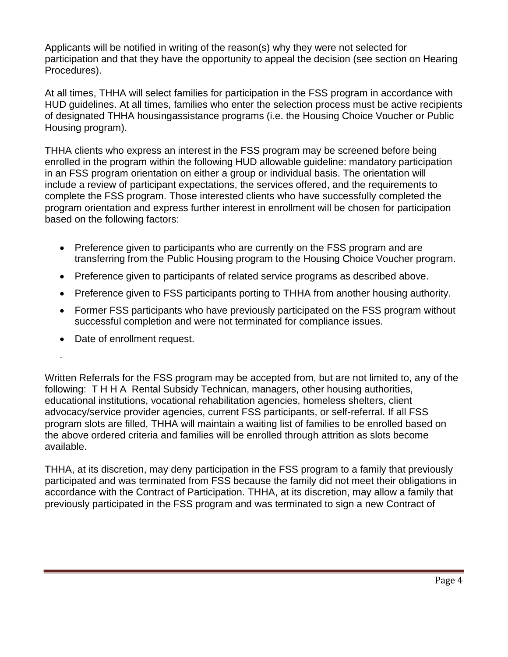Applicants will be notified in writing of the reason(s) why they were not selected for participation and that they have the opportunity to appeal the decision (see section on Hearing Procedures).

At all times, THHA will select families for participation in the FSS program in accordance with HUD guidelines. At all times, families who enter the selection process must be active recipients of designated THHA housingassistance programs (i.e. the Housing Choice Voucher or Public Housing program).

THHA clients who express an interest in the FSS program may be screened before being enrolled in the program within the following HUD allowable guideline: mandatory participation in an FSS program orientation on either a group or individual basis. The orientation will include a review of participant expectations, the services offered, and the requirements to complete the FSS program. Those interested clients who have successfully completed the program orientation and express further interest in enrollment will be chosen for participation based on the following factors:

- Preference given to participants who are currently on the FSS program and are transferring from the Public Housing program to the Housing Choice Voucher program.
- Preference given to participants of related service programs as described above.
- Preference given to FSS participants porting to THHA from another housing authority.
- Former FSS participants who have previously participated on the FSS program without successful completion and were not terminated for compliance issues.
- Date of enrollment request.

.

Written Referrals for the FSS program may be accepted from, but are not limited to, any of the following: T H H A Rental Subsidy Technican, managers, other housing authorities, educational institutions, vocational rehabilitation agencies, homeless shelters, client advocacy/service provider agencies, current FSS participants, or self-referral. If all FSS program slots are filled, THHA will maintain a waiting list of families to be enrolled based on the above ordered criteria and families will be enrolled through attrition as slots become available.

THHA, at its discretion, may deny participation in the FSS program to a family that previously participated and was terminated from FSS because the family did not meet their obligations in accordance with the Contract of Participation. THHA, at its discretion, may allow a family that previously participated in the FSS program and was terminated to sign a new Contract of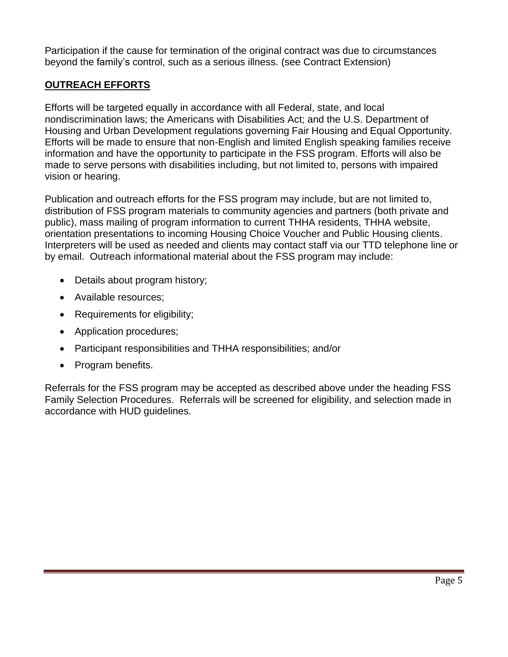Participation if the cause for termination of the original contract was due to circumstances beyond the family's control, such as a serious illness. (see Contract Extension)

# **OUTREACH EFFORTS**

Efforts will be targeted equally in accordance with all Federal, state, and local nondiscrimination laws; the Americans with Disabilities Act; and the U.S. Department of Housing and Urban Development regulations governing Fair Housing and Equal Opportunity. Efforts will be made to ensure that non-English and limited English speaking families receive information and have the opportunity to participate in the FSS program. Efforts will also be made to serve persons with disabilities including, but not limited to, persons with impaired vision or hearing.

Publication and outreach efforts for the FSS program may include, but are not limited to, distribution of FSS program materials to community agencies and partners (both private and public), mass mailing of program information to current THHA residents, THHA website, orientation presentations to incoming Housing Choice Voucher and Public Housing clients. Interpreters will be used as needed and clients may contact staff via our TTD telephone line or by email. Outreach informational material about the FSS program may include:

- Details about program history;
- Available resources;
- Requirements for eligibility;
- Application procedures;
- Participant responsibilities and THHA responsibilities; and/or
- Program benefits.

Referrals for the FSS program may be accepted as described above under the heading FSS Family Selection Procedures. Referrals will be screened for eligibility, and selection made in accordance with HUD guidelines.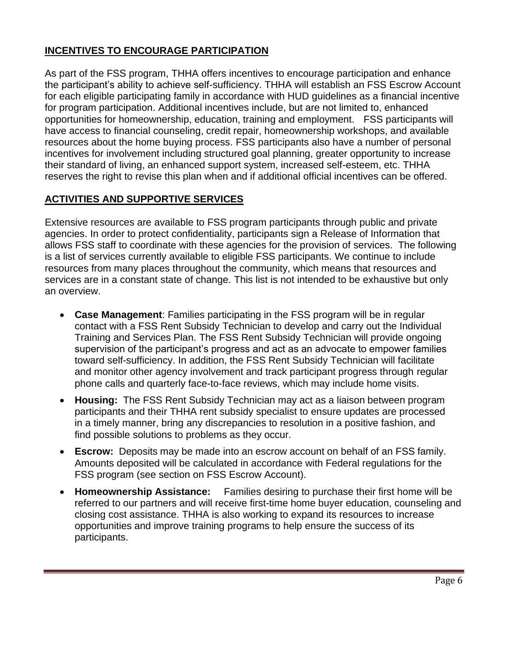# **INCENTIVES TO ENCOURAGE PARTICIPATION**

As part of the FSS program, THHA offers incentives to encourage participation and enhance the participant's ability to achieve self-sufficiency. THHA will establish an FSS Escrow Account for each eligible participating family in accordance with HUD guidelines as a financial incentive for program participation. Additional incentives include, but are not limited to, enhanced opportunities for homeownership, education, training and employment. FSS participants will have access to financial counseling, credit repair, homeownership workshops, and available resources about the home buying process. FSS participants also have a number of personal incentives for involvement including structured goal planning, greater opportunity to increase their standard of living, an enhanced support system, increased self-esteem, etc. THHA reserves the right to revise this plan when and if additional official incentives can be offered.

# **ACTIVITIES AND SUPPORTIVE SERVICES**

Extensive resources are available to FSS program participants through public and private agencies. In order to protect confidentiality, participants sign a Release of Information that allows FSS staff to coordinate with these agencies for the provision of services. The following is a list of services currently available to eligible FSS participants. We continue to include resources from many places throughout the community, which means that resources and services are in a constant state of change. This list is not intended to be exhaustive but only an overview.

- **Case Management**: Families participating in the FSS program will be in regular contact with a FSS Rent Subsidy Technician to develop and carry out the Individual Training and Services Plan. The FSS Rent Subsidy Technician will provide ongoing supervision of the participant's progress and act as an advocate to empower families toward self-sufficiency. In addition, the FSS Rent Subsidy Technician will facilitate and monitor other agency involvement and track participant progress through regular phone calls and quarterly face-to-face reviews, which may include home visits.
- **Housing:** The FSS Rent Subsidy Technician may act as a liaison between program participants and their THHA rent subsidy specialist to ensure updates are processed in a timely manner, bring any discrepancies to resolution in a positive fashion, and find possible solutions to problems as they occur.
- **Escrow:** Deposits may be made into an escrow account on behalf of an FSS family. Amounts deposited will be calculated in accordance with Federal regulations for the FSS program (see section on FSS Escrow Account).
- **Homeownership Assistance:** Families desiring to purchase their first home will be referred to our partners and will receive first-time home buyer education, counseling and closing cost assistance. THHA is also working to expand its resources to increase opportunities and improve training programs to help ensure the success of its participants.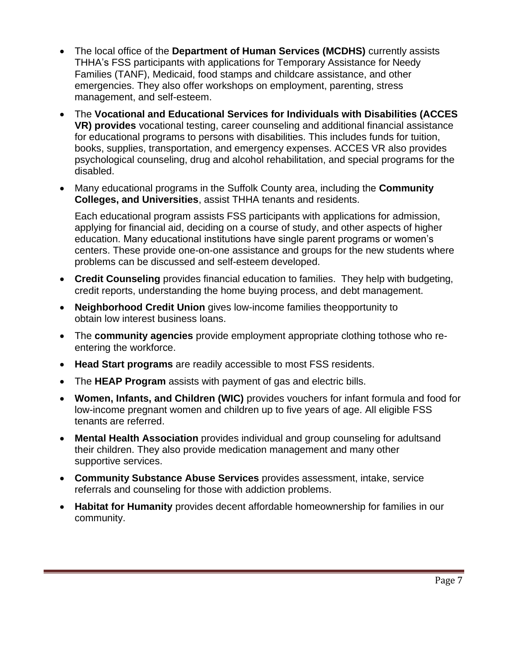- The local office of the **Department of Human Services (MCDHS)** currently assists THHA's FSS participants with applications for Temporary Assistance for Needy Families (TANF), Medicaid, food stamps and childcare assistance, and other emergencies. They also offer workshops on employment, parenting, stress management, and self-esteem.
- The **Vocational and Educational Services for Individuals with Disabilities (ACCES VR) provides** vocational testing, career counseling and additional financial assistance for educational programs to persons with disabilities. This includes funds for tuition, books, supplies, transportation, and emergency expenses. ACCES VR also provides psychological counseling, drug and alcohol rehabilitation, and special programs for the disabled.
- Many educational programs in the Suffolk County area, including the **Community Colleges, and Universities**, assist THHA tenants and residents.

Each educational program assists FSS participants with applications for admission, applying for financial aid, deciding on a course of study, and other aspects of higher education. Many educational institutions have single parent programs or women's centers. These provide one-on-one assistance and groups for the new students where problems can be discussed and self-esteem developed.

- **Credit Counseling** provides financial education to families. They help with budgeting, credit reports, understanding the home buying process, and debt management.
- **Neighborhood Credit Union** gives low-income families theopportunity to obtain low interest business loans.
- The **community agencies** provide employment appropriate clothing tothose who reentering the workforce.
- **Head Start programs** are readily accessible to most FSS residents.
- The **HEAP Program** assists with payment of gas and electric bills.
- **Women, Infants, and Children (WIC)** provides vouchers for infant formula and food for low-income pregnant women and children up to five years of age. All eligible FSS tenants are referred.
- **Mental Health Association** provides individual and group counseling for adultsand their children. They also provide medication management and many other supportive services.
- **Community Substance Abuse Services** provides assessment, intake, service referrals and counseling for those with addiction problems.
- **Habitat for Humanity** provides decent affordable homeownership for families in our community.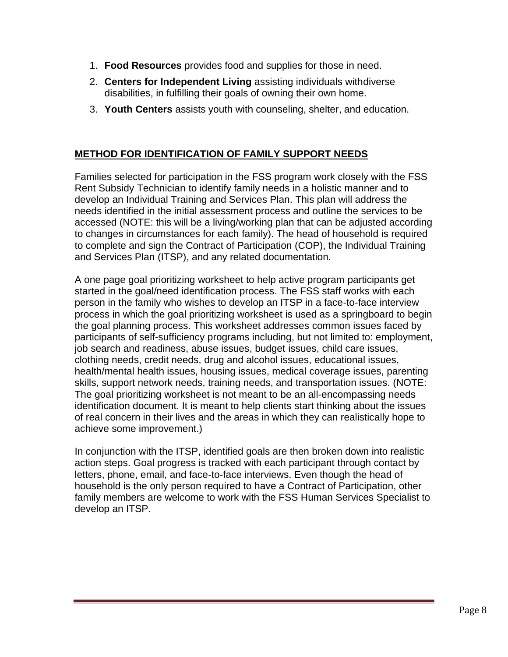- 1. **Food Resources** provides food and supplies for those in need.
- 2. **Centers for Independent Living** assisting individuals withdiverse disabilities, in fulfilling their goals of owning their own home.
- 3. **Youth Centers** assists youth with counseling, shelter, and education.

# **METHOD FOR IDENTIFICATION OF FAMILY SUPPORT NEEDS**

Families selected for participation in the FSS program work closely with the FSS Rent Subsidy Technician to identify family needs in a holistic manner and to develop an Individual Training and Services Plan. This plan will address the needs identified in the initial assessment process and outline the services to be accessed (NOTE: this will be a living/working plan that can be adjusted according to changes in circumstances for each family). The head of household is required to complete and sign the Contract of Participation (COP), the Individual Training and Services Plan (ITSP), and any related documentation.

A one page goal prioritizing worksheet to help active program participants get started in the goal/need identification process. The FSS staff works with each person in the family who wishes to develop an ITSP in a face-to-face interview process in which the goal prioritizing worksheet is used as a springboard to begin the goal planning process. This worksheet addresses common issues faced by participants of self-sufficiency programs including, but not limited to: employment, job search and readiness, abuse issues, budget issues, child care issues, clothing needs, credit needs, drug and alcohol issues, educational issues, health/mental health issues, housing issues, medical coverage issues, parenting skills, support network needs, training needs, and transportation issues. (NOTE: The goal prioritizing worksheet is not meant to be an all-encompassing needs identification document. It is meant to help clients start thinking about the issues of real concern in their lives and the areas in which they can realistically hope to achieve some improvement.)

In conjunction with the ITSP, identified goals are then broken down into realistic action steps. Goal progress is tracked with each participant through contact by letters, phone, email, and face-to-face interviews. Even though the head of household is the only person required to have a Contract of Participation, other family members are welcome to work with the FSS Human Services Specialist to develop an ITSP.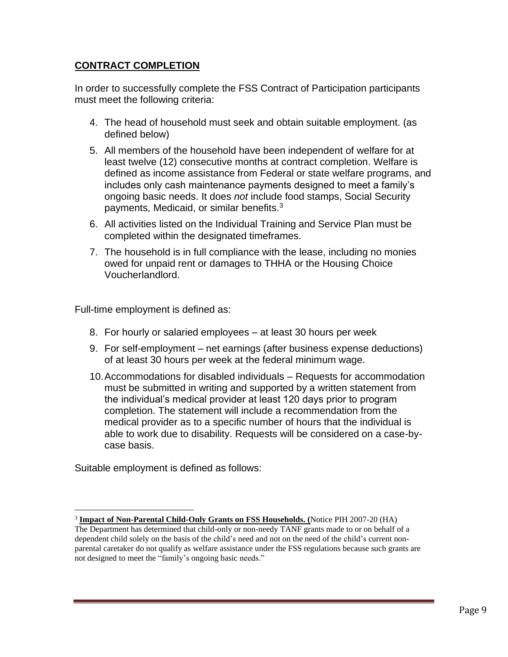### **CONTRACT COMPLETION**

In order to successfully complete the FSS Contract of Participation participants must meet the following criteria:

- 4. The head of household must seek and obtain suitable employment. (as defined below)
- 5. All members of the household have been independent of welfare for at least twelve (12) consecutive months at contract completion. Welfare is defined as income assistance from Federal or state welfare programs, and includes only cash maintenance payments designed to meet a family's ongoing basic needs. It does *not* include food stamps, Social Security payments, Medicaid, or similar benefits.<sup>3</sup>
- 6. All activities listed on the Individual Training and Service Plan must be completed within the designated timeframes.
- 7. The household is in full compliance with the lease, including no monies owed for unpaid rent or damages to THHA or the Housing Choice Voucherlandlord.

Full-time employment is defined as:

- 8. For hourly or salaried employees at least 30 hours per week
- 9. For self-employment net earnings (after business expense deductions) of at least 30 hours per week at the federal minimum wage.
- 10.Accommodations for disabled individuals Requests for accommodation must be submitted in writing and supported by a written statement from the individual's medical provider at least 120 days prior to program completion. The statement will include a recommendation from the medical provider as to a specific number of hours that the individual is able to work due to disability. Requests will be considered on a case-bycase basis.

Suitable employment is defined as follows:

<sup>3</sup> **Impact of Non-Parental Child-Only Grants on FSS Households. (**Notice PIH 2007-20 (HA) The Department has determined that child-only or non-needy TANF grants made to or on behalf of a dependent child solely on the basis of the child's need and not on the need of the child's current nonparental caretaker do not qualify as welfare assistance under the FSS regulations because such grants are not designed to meet the "family's ongoing basic needs."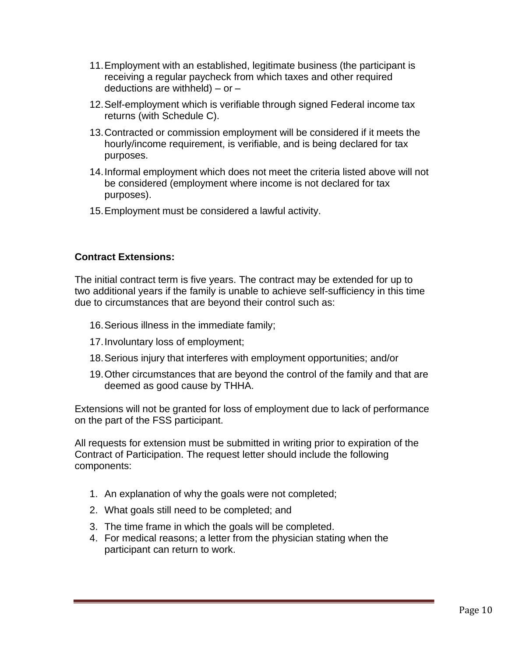- 11.Employment with an established, legitimate business (the participant is receiving a regular paycheck from which taxes and other required deductions are withheld) – or  $-$
- 12.Self-employment which is verifiable through signed Federal income tax returns (with Schedule C).
- 13.Contracted or commission employment will be considered if it meets the hourly/income requirement, is verifiable, and is being declared for tax purposes.
- 14.Informal employment which does not meet the criteria listed above will not be considered (employment where income is not declared for tax purposes).
- 15.Employment must be considered a lawful activity.

#### **Contract Extensions:**

The initial contract term is five years. The contract may be extended for up to two additional years if the family is unable to achieve self-sufficiency in this time due to circumstances that are beyond their control such as:

- 16.Serious illness in the immediate family;
- 17.Involuntary loss of employment;
- 18.Serious injury that interferes with employment opportunities; and/or
- 19.Other circumstances that are beyond the control of the family and that are deemed as good cause by THHA.

Extensions will not be granted for loss of employment due to lack of performance on the part of the FSS participant.

All requests for extension must be submitted in writing prior to expiration of the Contract of Participation. The request letter should include the following components:

- 1. An explanation of why the goals were not completed;
- 2. What goals still need to be completed; and
- 3. The time frame in which the goals will be completed.
- 4. For medical reasons; a letter from the physician stating when the participant can return to work.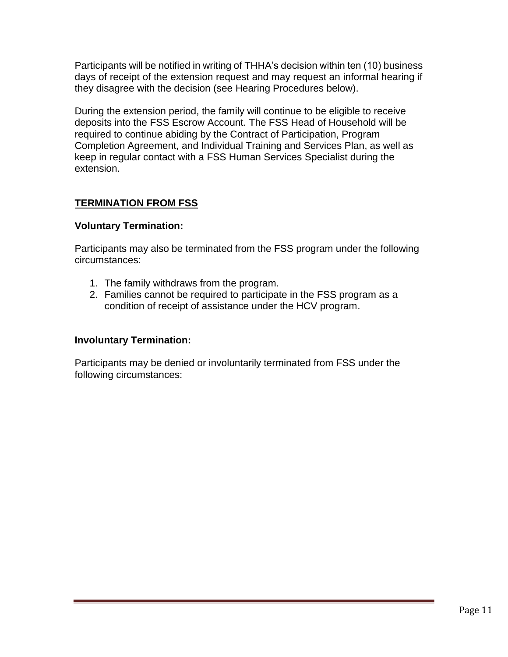Participants will be notified in writing of THHA's decision within ten (10) business days of receipt of the extension request and may request an informal hearing if they disagree with the decision (see Hearing Procedures below).

During the extension period, the family will continue to be eligible to receive deposits into the FSS Escrow Account. The FSS Head of Household will be required to continue abiding by the Contract of Participation, Program Completion Agreement, and Individual Training and Services Plan, as well as keep in regular contact with a FSS Human Services Specialist during the extension.

# **TERMINATION FROM FSS**

#### **Voluntary Termination:**

Participants may also be terminated from the FSS program under the following circumstances:

- 1. The family withdraws from the program.
- 2. Families cannot be required to participate in the FSS program as a condition of receipt of assistance under the HCV program.

#### **Involuntary Termination:**

Participants may be denied or involuntarily terminated from FSS under the following circumstances: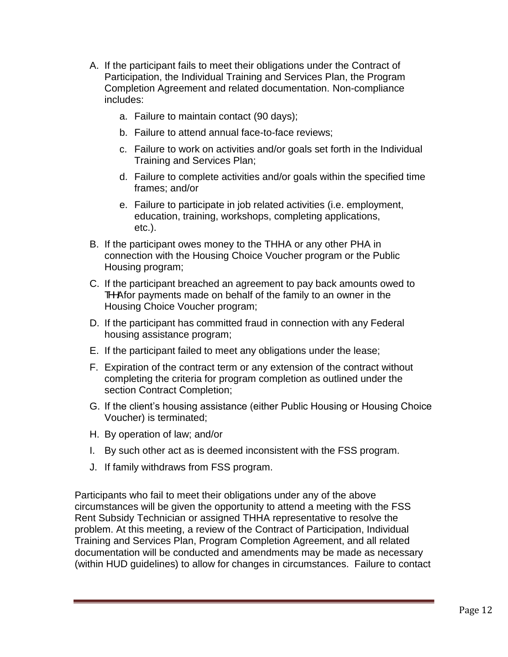- A. If the participant fails to meet their obligations under the Contract of Participation, the Individual Training and Services Plan, the Program Completion Agreement and related documentation. Non-compliance includes:
	- a. Failure to maintain contact (90 days);
	- b. Failure to attend annual face-to-face reviews;
	- c. Failure to work on activities and/or goals set forth in the Individual Training and Services Plan;
	- d. Failure to complete activities and/or goals within the specified time frames; and/or
	- e. Failure to participate in job related activities (i.e. employment, education, training, workshops, completing applications, etc.).
- B. If the participant owes money to the THHA or any other PHA in connection with the Housing Choice Voucher program or the Public Housing program;
- C. If the participant breached an agreement to pay back amounts owed to THHAfor payments made on behalf of the family to an owner in the Housing Choice Voucher program;
- D. If the participant has committed fraud in connection with any Federal housing assistance program;
- E. If the participant failed to meet any obligations under the lease;
- F. Expiration of the contract term or any extension of the contract without completing the criteria for program completion as outlined under the section Contract Completion;
- G. If the client's housing assistance (either Public Housing or Housing Choice Voucher) is terminated;
- H. By operation of law; and/or
- I. By such other act as is deemed inconsistent with the FSS program.
- J. If family withdraws from FSS program.

Participants who fail to meet their obligations under any of the above circumstances will be given the opportunity to attend a meeting with the FSS Rent Subsidy Technician or assigned THHA representative to resolve the problem. At this meeting, a review of the Contract of Participation, Individual Training and Services Plan, Program Completion Agreement, and all related documentation will be conducted and amendments may be made as necessary (within HUD guidelines) to allow for changes in circumstances. Failure to contact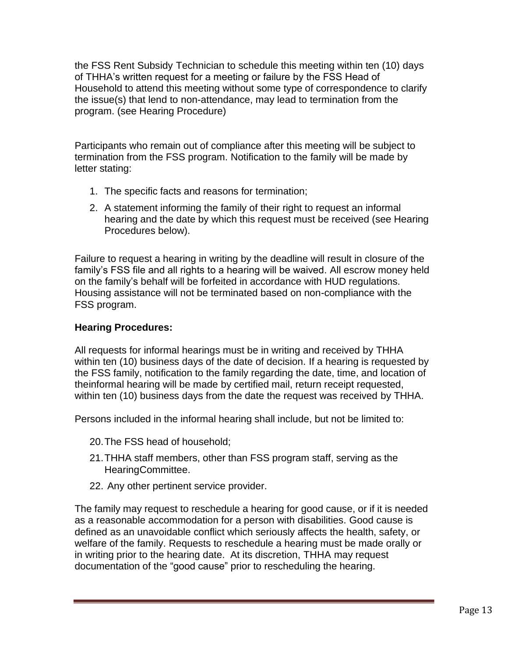the FSS Rent Subsidy Technician to schedule this meeting within ten (10) days of THHA's written request for a meeting or failure by the FSS Head of Household to attend this meeting without some type of correspondence to clarify the issue(s) that lend to non-attendance, may lead to termination from the program. (see Hearing Procedure)

Participants who remain out of compliance after this meeting will be subject to termination from the FSS program. Notification to the family will be made by letter stating:

- 1. The specific facts and reasons for termination;
- 2. A statement informing the family of their right to request an informal hearing and the date by which this request must be received (see Hearing Procedures below).

Failure to request a hearing in writing by the deadline will result in closure of the family's FSS file and all rights to a hearing will be waived. All escrow money held on the family's behalf will be forfeited in accordance with HUD regulations. Housing assistance will not be terminated based on non-compliance with the FSS program.

# **Hearing Procedures:**

All requests for informal hearings must be in writing and received by THHA within ten (10) business days of the date of decision. If a hearing is requested by the FSS family, notification to the family regarding the date, time, and location of theinformal hearing will be made by certified mail, return receipt requested, within ten (10) business days from the date the request was received by THHA.

Persons included in the informal hearing shall include, but not be limited to:

- 20.The FSS head of household;
- 21.THHA staff members, other than FSS program staff, serving as the HearingCommittee.
- 22. Any other pertinent service provider.

The family may request to reschedule a hearing for good cause, or if it is needed as a reasonable accommodation for a person with disabilities. Good cause is defined as an unavoidable conflict which seriously affects the health, safety, or welfare of the family. Requests to reschedule a hearing must be made orally or in writing prior to the hearing date. At its discretion, THHA may request documentation of the "good cause" prior to rescheduling the hearing.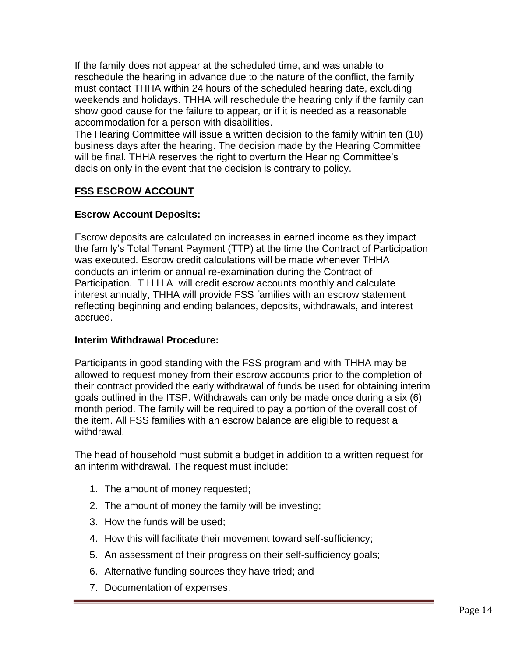If the family does not appear at the scheduled time, and was unable to reschedule the hearing in advance due to the nature of the conflict, the family must contact THHA within 24 hours of the scheduled hearing date, excluding weekends and holidays. THHA will reschedule the hearing only if the family can show good cause for the failure to appear, or if it is needed as a reasonable accommodation for a person with disabilities.

The Hearing Committee will issue a written decision to the family within ten (10) business days after the hearing. The decision made by the Hearing Committee will be final. THHA reserves the right to overturn the Hearing Committee's decision only in the event that the decision is contrary to policy.

# **FSS ESCROW ACCOUNT**

#### **Escrow Account Deposits:**

Escrow deposits are calculated on increases in earned income as they impact the family's Total Tenant Payment (TTP) at the time the Contract of Participation was executed. Escrow credit calculations will be made whenever THHA conducts an interim or annual re-examination during the Contract of Participation. T H H A will credit escrow accounts monthly and calculate interest annually, THHA will provide FSS families with an escrow statement reflecting beginning and ending balances, deposits, withdrawals, and interest accrued.

#### **Interim Withdrawal Procedure:**

Participants in good standing with the FSS program and with THHA may be allowed to request money from their escrow accounts prior to the completion of their contract provided the early withdrawal of funds be used for obtaining interim goals outlined in the ITSP. Withdrawals can only be made once during a six (6) month period. The family will be required to pay a portion of the overall cost of the item. All FSS families with an escrow balance are eligible to request a withdrawal.

The head of household must submit a budget in addition to a written request for an interim withdrawal. The request must include:

- 1. The amount of money requested;
- 2. The amount of money the family will be investing;
- 3. How the funds will be used;
- 4. How this will facilitate their movement toward self-sufficiency;
- 5. An assessment of their progress on their self-sufficiency goals;
- 6. Alternative funding sources they have tried; and
- 7. Documentation of expenses.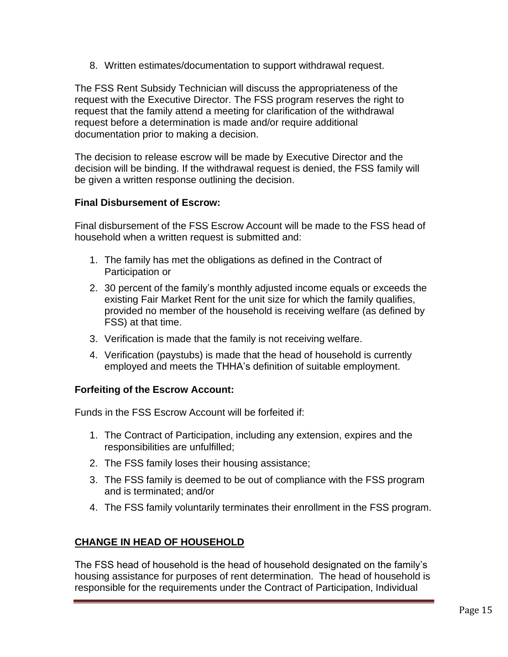8. Written estimates/documentation to support withdrawal request.

The FSS Rent Subsidy Technician will discuss the appropriateness of the request with the Executive Director. The FSS program reserves the right to request that the family attend a meeting for clarification of the withdrawal request before a determination is made and/or require additional documentation prior to making a decision.

The decision to release escrow will be made by Executive Director and the decision will be binding. If the withdrawal request is denied, the FSS family will be given a written response outlining the decision.

#### **Final Disbursement of Escrow:**

Final disbursement of the FSS Escrow Account will be made to the FSS head of household when a written request is submitted and:

- 1. The family has met the obligations as defined in the Contract of Participation or
- 2. 30 percent of the family's monthly adjusted income equals or exceeds the existing Fair Market Rent for the unit size for which the family qualifies, provided no member of the household is receiving welfare (as defined by FSS) at that time.
- 3. Verification is made that the family is not receiving welfare.
- 4. Verification (paystubs) is made that the head of household is currently employed and meets the THHA's definition of suitable employment.

#### **Forfeiting of the Escrow Account:**

Funds in the FSS Escrow Account will be forfeited if:

- 1. The Contract of Participation, including any extension, expires and the responsibilities are unfulfilled;
- 2. The FSS family loses their housing assistance;
- 3. The FSS family is deemed to be out of compliance with the FSS program and is terminated; and/or
- 4. The FSS family voluntarily terminates their enrollment in the FSS program.

# **CHANGE IN HEAD OF HOUSEHOLD**

The FSS head of household is the head of household designated on the family's housing assistance for purposes of rent determination. The head of household is responsible for the requirements under the Contract of Participation, Individual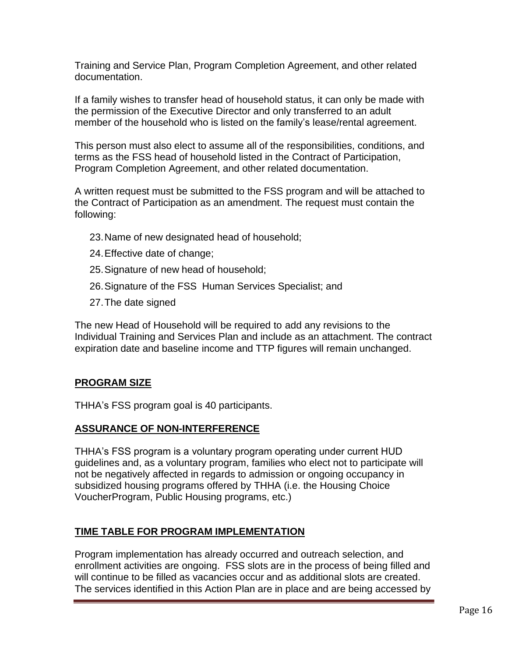Training and Service Plan, Program Completion Agreement, and other related documentation.

If a family wishes to transfer head of household status, it can only be made with the permission of the Executive Director and only transferred to an adult member of the household who is listed on the family's lease/rental agreement.

This person must also elect to assume all of the responsibilities, conditions, and terms as the FSS head of household listed in the Contract of Participation, Program Completion Agreement, and other related documentation.

A written request must be submitted to the FSS program and will be attached to the Contract of Participation as an amendment. The request must contain the following:

- 23.Name of new designated head of household;
- 24.Effective date of change;
- 25.Signature of new head of household;
- 26.Signature of the FSS Human Services Specialist; and
- 27.The date signed

The new Head of Household will be required to add any revisions to the Individual Training and Services Plan and include as an attachment. The contract expiration date and baseline income and TTP figures will remain unchanged.

#### **PROGRAM SIZE**

THHA's FSS program goal is 40 participants.

#### **ASSURANCE OF NON-INTERFERENCE**

THHA's FSS program is a voluntary program operating under current HUD guidelines and, as a voluntary program, families who elect not to participate will not be negatively affected in regards to admission or ongoing occupancy in subsidized housing programs offered by THHA (i.e. the Housing Choice VoucherProgram, Public Housing programs, etc.)

#### **TIME TABLE FOR PROGRAM IMPLEMENTATION**

Program implementation has already occurred and outreach selection, and enrollment activities are ongoing. FSS slots are in the process of being filled and will continue to be filled as vacancies occur and as additional slots are created. The services identified in this Action Plan are in place and are being accessed by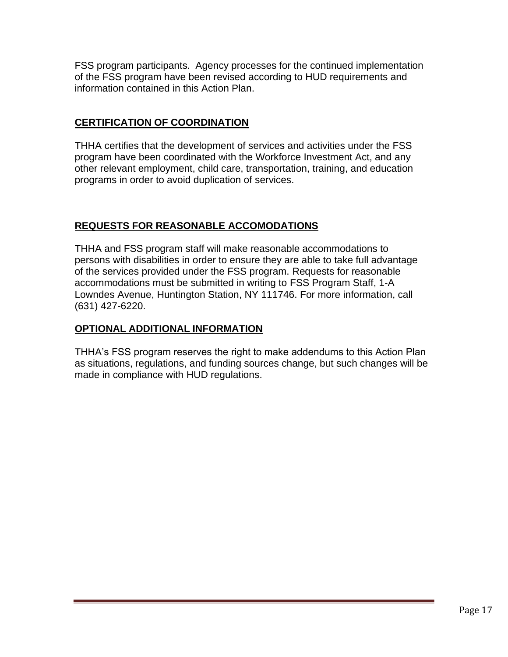FSS program participants. Agency processes for the continued implementation of the FSS program have been revised according to HUD requirements and information contained in this Action Plan.

# **CERTIFICATION OF COORDINATION**

THHA certifies that the development of services and activities under the FSS program have been coordinated with the Workforce Investment Act, and any other relevant employment, child care, transportation, training, and education programs in order to avoid duplication of services.

# **REQUESTS FOR REASONABLE ACCOMODATIONS**

THHA and FSS program staff will make reasonable accommodations to persons with disabilities in order to ensure they are able to take full advantage of the services provided under the FSS program. Requests for reasonable accommodations must be submitted in writing to FSS Program Staff, 1-A Lowndes Avenue, Huntington Station, NY 111746. For more information, call (631) 427-6220.

### **OPTIONAL ADDITIONAL INFORMATION**

THHA's FSS program reserves the right to make addendums to this Action Plan as situations, regulations, and funding sources change, but such changes will be made in compliance with HUD regulations.